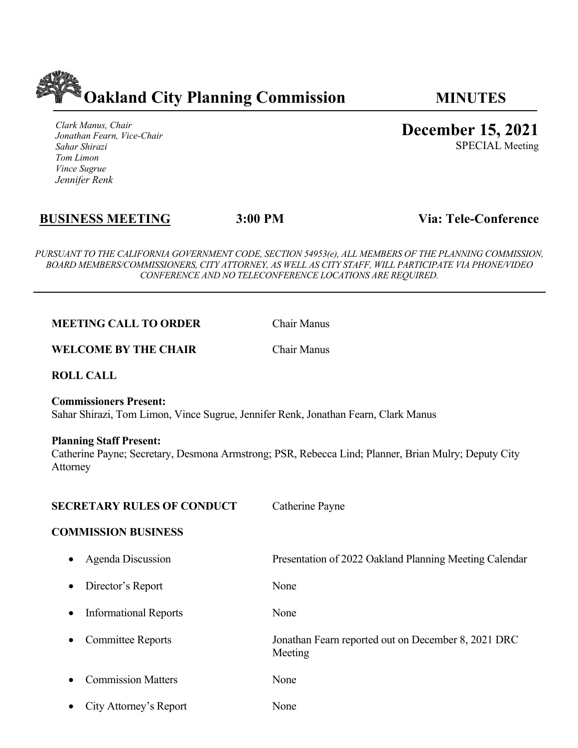

*Clark Manus, Chair Jonathan Fearn, Vice-Chair Sahar Shirazi Tom Limon Vince Sugrue Jennifer Renk*

**December 15, 2021**

SPECIAL Meeting

# **BUSINESS MEETING 3:00 PM Via: Tele-Conference**

*PURSUANT TO THE CALIFORNIA GOVERNMENT CODE, SECTION 54953(e), ALL MEMBERS OF THE PLANNING COMMISSION, BOARD MEMBERS/COMMISSIONERS, CITY ATTORNEY, AS WELL AS CITY STAFF, WILL PARTICIPATE VIA PHONE/VIDEO CONFERENCE AND NO TELECONFERENCE LOCATIONS ARE REQUIRED.*

**MEETING CALL TO ORDER** Chair Manus

**WELCOME BY THE CHAIR** Chair Manus

**ROLL CALL**

**Commissioners Present:**  Sahar Shirazi, Tom Limon, Vince Sugrue, Jennifer Renk, Jonathan Fearn, Clark Manus

## **Planning Staff Present:**

Catherine Payne; Secretary, Desmona Armstrong; PSR, Rebecca Lind; Planner, Brian Mulry; Deputy City Attorney

### **SECRETARY RULES OF CONDUCT** Catherine Payne

### **COMMISSION BUSINESS**

|           | • Agenda Discussion          | Presentation of 2022 Oakland Planning Meeting Calendar         |
|-----------|------------------------------|----------------------------------------------------------------|
| $\bullet$ | Director's Report            | None                                                           |
| $\bullet$ | <b>Informational Reports</b> | None                                                           |
| $\bullet$ | <b>Committee Reports</b>     | Jonathan Fearn reported out on December 8, 2021 DRC<br>Meeting |
| $\bullet$ | <b>Commission Matters</b>    | None                                                           |
|           | • City Attorney's Report     | None                                                           |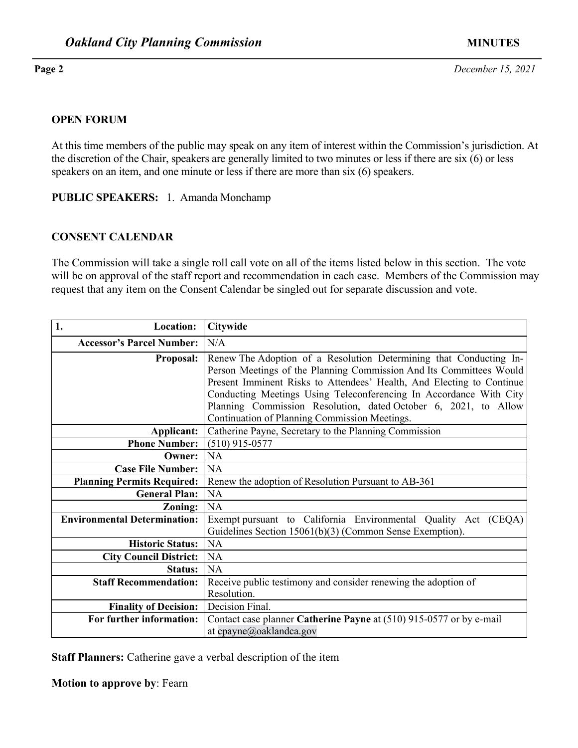**Page 2** *December 15, 2021*

### **OPEN FORUM**

At this time members of the public may speak on any item of interest within the Commission's jurisdiction. At the discretion of the Chair, speakers are generally limited to two minutes or less if there are six (6) or less speakers on an item, and one minute or less if there are more than six (6) speakers.

**PUBLIC SPEAKERS:** 1. Amanda Monchamp

### **CONSENT CALENDAR**

The Commission will take a single roll call vote on all of the items listed below in this section. The vote will be on approval of the staff report and recommendation in each case. Members of the Commission may request that any item on the Consent Calendar be singled out for separate discussion and vote.

| 1.<br><b>Location:</b>              | <b>Citywide</b>                                                                                                                                                                                                                                                                                                                                                                                              |  |
|-------------------------------------|--------------------------------------------------------------------------------------------------------------------------------------------------------------------------------------------------------------------------------------------------------------------------------------------------------------------------------------------------------------------------------------------------------------|--|
| <b>Accessor's Parcel Number:</b>    | N/A                                                                                                                                                                                                                                                                                                                                                                                                          |  |
| <b>Proposal:</b>                    | Renew The Adoption of a Resolution Determining that Conducting In-<br>Person Meetings of the Planning Commission And Its Committees Would<br>Present Imminent Risks to Attendees' Health, And Electing to Continue<br>Conducting Meetings Using Teleconferencing In Accordance With City<br>Planning Commission Resolution, dated October 6, 2021, to Allow<br>Continuation of Planning Commission Meetings. |  |
| Applicant:                          | Catherine Payne, Secretary to the Planning Commission                                                                                                                                                                                                                                                                                                                                                        |  |
| <b>Phone Number:</b>                | $(510)$ 915-0577                                                                                                                                                                                                                                                                                                                                                                                             |  |
| Owner:                              | NA                                                                                                                                                                                                                                                                                                                                                                                                           |  |
| <b>Case File Number:</b>            | <b>NA</b>                                                                                                                                                                                                                                                                                                                                                                                                    |  |
| <b>Planning Permits Required:</b>   | Renew the adoption of Resolution Pursuant to AB-361                                                                                                                                                                                                                                                                                                                                                          |  |
| <b>General Plan:</b>                | NA                                                                                                                                                                                                                                                                                                                                                                                                           |  |
| Zoning:                             | <b>NA</b>                                                                                                                                                                                                                                                                                                                                                                                                    |  |
| <b>Environmental Determination:</b> | Exempt pursuant to California Environmental Quality Act (CEQA)<br>Guidelines Section 15061(b)(3) (Common Sense Exemption).                                                                                                                                                                                                                                                                                   |  |
| <b>Historic Status:</b>             | NA                                                                                                                                                                                                                                                                                                                                                                                                           |  |
| <b>City Council District:</b>       | <b>NA</b>                                                                                                                                                                                                                                                                                                                                                                                                    |  |
| <b>Status:</b>                      | <b>NA</b>                                                                                                                                                                                                                                                                                                                                                                                                    |  |
| <b>Staff Recommendation:</b>        | Receive public testimony and consider renewing the adoption of                                                                                                                                                                                                                                                                                                                                               |  |
|                                     | Resolution.                                                                                                                                                                                                                                                                                                                                                                                                  |  |
| <b>Finality of Decision:</b>        | Decision Final.                                                                                                                                                                                                                                                                                                                                                                                              |  |
| For further information:            | Contact case planner Catherine Payne at (510) 915-0577 or by e-mail                                                                                                                                                                                                                                                                                                                                          |  |
|                                     | at cpayne@oaklandca.gov                                                                                                                                                                                                                                                                                                                                                                                      |  |

**Staff Planners:** Catherine gave a verbal description of the item

**Motion to approve by**: Fearn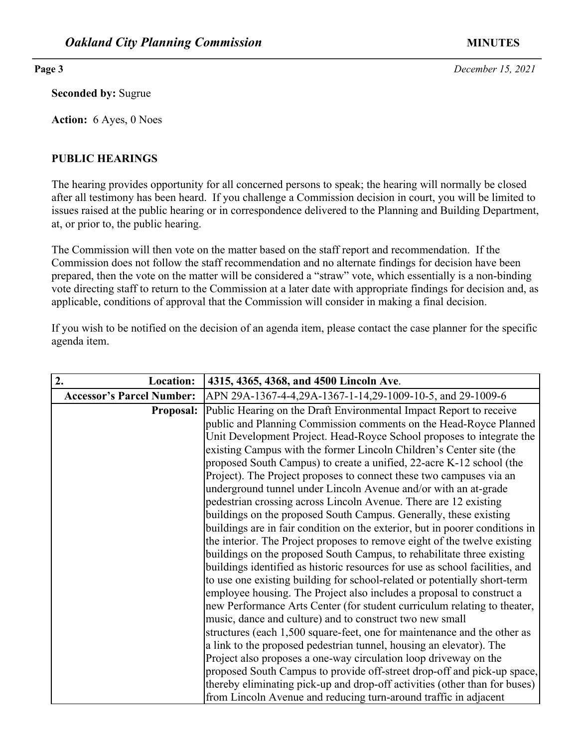**Seconded by:** Sugrue

**Action:** 6 Ayes, 0 Noes

# **PUBLIC HEARINGS**

The hearing provides opportunity for all concerned persons to speak; the hearing will normally be closed after all testimony has been heard. If you challenge a Commission decision in court, you will be limited to issues raised at the public hearing or in correspondence delivered to the Planning and Building Department, at, or prior to, the public hearing.

The Commission will then vote on the matter based on the staff report and recommendation. If the Commission does not follow the staff recommendation and no alternate findings for decision have been prepared, then the vote on the matter will be considered a "straw" vote, which essentially is a non-binding vote directing staff to return to the Commission at a later date with appropriate findings for decision and, as applicable, conditions of approval that the Commission will consider in making a final decision.

If you wish to be notified on the decision of an agenda item, please contact the case planner for the specific agenda item.

| 2.<br><b>Location:</b>           | 4315, 4365, 4368, and 4500 Lincoln Ave.                                      |
|----------------------------------|------------------------------------------------------------------------------|
| <b>Accessor's Parcel Number:</b> | APN 29A-1367-4-4,29A-1367-1-14,29-1009-10-5, and 29-1009-6                   |
| <b>Proposal:</b>                 | Public Hearing on the Draft Environmental Impact Report to receive           |
|                                  | public and Planning Commission comments on the Head-Royce Planned            |
|                                  | Unit Development Project. Head-Royce School proposes to integrate the        |
|                                  | existing Campus with the former Lincoln Children's Center site (the          |
|                                  | proposed South Campus) to create a unified, 22-acre K-12 school (the         |
|                                  | Project). The Project proposes to connect these two campuses via an          |
|                                  | underground tunnel under Lincoln Avenue and/or with an at-grade              |
|                                  | pedestrian crossing across Lincoln Avenue. There are 12 existing             |
|                                  | buildings on the proposed South Campus. Generally, these existing            |
|                                  | buildings are in fair condition on the exterior, but in poorer conditions in |
|                                  | the interior. The Project proposes to remove eight of the twelve existing    |
|                                  | buildings on the proposed South Campus, to rehabilitate three existing       |
|                                  | buildings identified as historic resources for use as school facilities, and |
|                                  | to use one existing building for school-related or potentially short-term    |
|                                  | employee housing. The Project also includes a proposal to construct a        |
|                                  | new Performance Arts Center (for student curriculum relating to theater,     |
|                                  | music, dance and culture) and to construct two new small                     |
|                                  | structures (each 1,500 square-feet, one for maintenance and the other as     |
|                                  | a link to the proposed pedestrian tunnel, housing an elevator). The          |
|                                  | Project also proposes a one-way circulation loop driveway on the             |
|                                  | proposed South Campus to provide off-street drop-off and pick-up space,      |
|                                  | thereby eliminating pick-up and drop-off activities (other than for buses)   |
|                                  | from Lincoln Avenue and reducing turn-around traffic in adjacent             |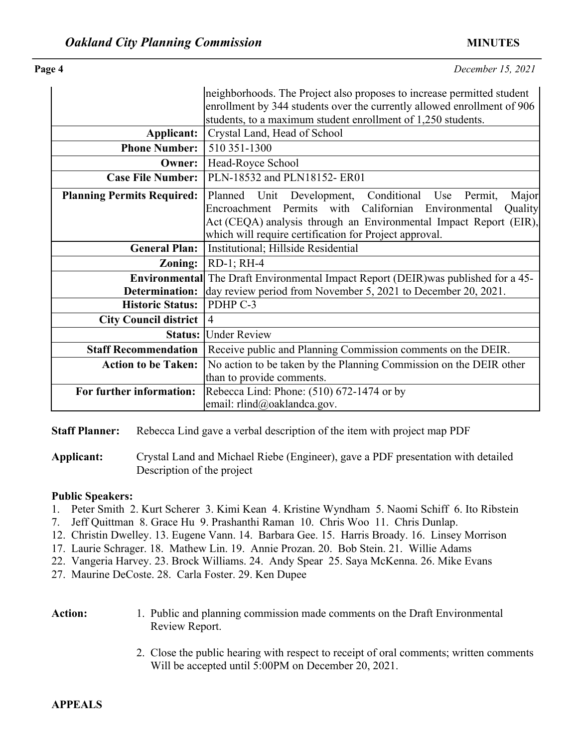**Page 4** *December 15, 2021*

|                                   | neighborhoods. The Project also proposes to increase permitted student                    |  |
|-----------------------------------|-------------------------------------------------------------------------------------------|--|
|                                   | enrollment by 344 students over the currently allowed enrollment of 906                   |  |
|                                   | students, to a maximum student enrollment of 1,250 students.                              |  |
| Applicant:                        | Crystal Land, Head of School                                                              |  |
| <b>Phone Number:</b>              | 510 351-1300                                                                              |  |
| Owner:                            | Head-Royce School                                                                         |  |
| <b>Case File Number:</b>          | PLN-18532 and PLN18152-ER01                                                               |  |
| <b>Planning Permits Required:</b> | Planned Unit Development, Conditional Use<br>Major<br>Permit,                             |  |
|                                   | Encroachment Permits with Californian Environmental<br>Quality                            |  |
|                                   | Act (CEQA) analysis through an Environmental Impact Report (EIR),                         |  |
|                                   | which will require certification for Project approval.                                    |  |
| <b>General Plan:</b>              | Institutional; Hillside Residential                                                       |  |
| Zoning:                           | $RD-1$ ; $RH-4$                                                                           |  |
|                                   | <b>Environmental</b> The Draft Environmental Impact Report (DEIR) was published for a 45- |  |
| Determination:                    | day review period from November 5, 2021 to December 20, 2021.                             |  |
| <b>Historic Status:</b>           | PDHP C-3                                                                                  |  |
| City Council district             | $\overline{4}$                                                                            |  |
| <b>Status:</b>                    | <b>Under Review</b>                                                                       |  |
| <b>Staff Recommendation</b>       | Receive public and Planning Commission comments on the DEIR.                              |  |
| <b>Action to be Taken:</b>        | No action to be taken by the Planning Commission on the DEIR other                        |  |
|                                   | than to provide comments.                                                                 |  |
| For further information:          | Rebecca Lind: Phone: (510) 672-1474 or by                                                 |  |
|                                   | email: rlind@oaklandca.gov.                                                               |  |

**Staff Planner:** Rebecca Lind gave a verbal description of the item with project map PDF

**Applicant:** Crystal Land and Michael Riebe (Engineer), gave a PDF presentation with detailed Description of the project

### **Public Speakers:**

- 1. Peter Smith 2. Kurt Scherer 3. Kimi Kean 4. Kristine Wyndham 5. Naomi Schiff 6. Ito Ribstein
- 7. Jeff Quittman 8. Grace Hu 9. Prashanthi Raman 10. Chris Woo 11. Chris Dunlap.
- 12. Christin Dwelley. 13. Eugene Vann. 14. Barbara Gee. 15. Harris Broady. 16. Linsey Morrison
- 17. Laurie Schrager. 18. Mathew Lin. 19. Annie Prozan. 20. Bob Stein. 21. Willie Adams
- 22. Vangeria Harvey. 23. Brock Williams. 24. Andy Spear 25. Saya McKenna. 26. Mike Evans

27. Maurine DeCoste. 28. Carla Foster. 29. Ken Dupee

- Action: 1. Public and planning commission made comments on the Draft Environmental Review Report.
	- 2. Close the public hearing with respect to receipt of oral comments; written comments Will be accepted until 5:00PM on December 20, 2021.